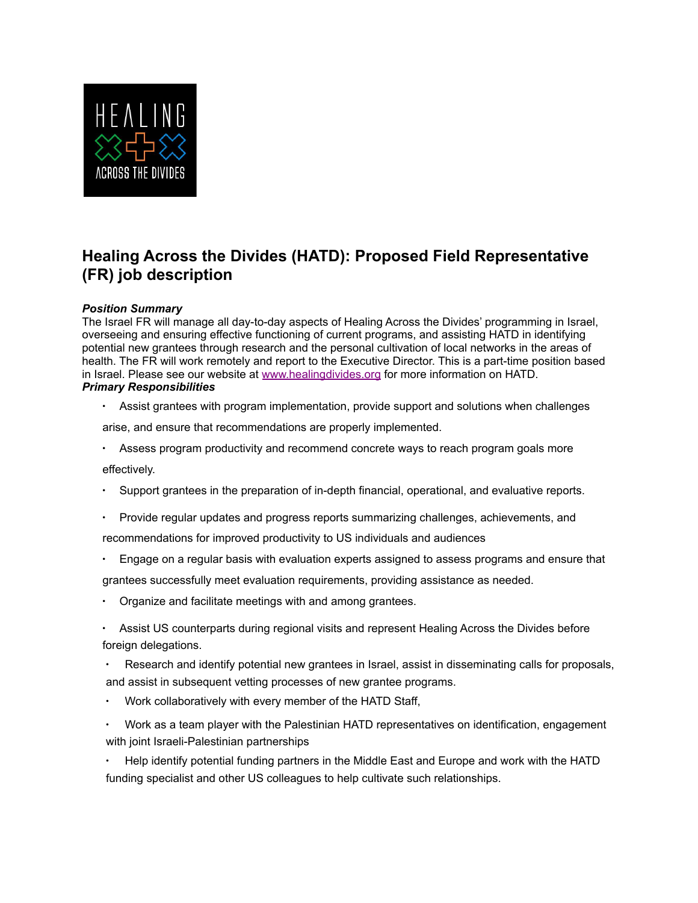

## **Healing Across the Divides (HATD): Proposed Field Representative (FR) job description**

## *Position Summary*

The Israel FR will manage all day-to-day aspects of Healing Across the Divides' programming in Israel, overseeing and ensuring effective functioning of current programs, and assisting HATD in identifying potential new grantees through research and the personal cultivation of local networks in the areas of health. The FR will work remotely and report to the Executive Director. This is a part-time position based in Israel. Please see our website at [www.healingdivides.org](http://www.healingdivides.org/) for more information on HATD. *Primary Responsibilities*

∙ Assist grantees with program implementation, provide support and solutions when challenges

arise, and ensure that recommendations are properly implemented.

∙ Assess program productivity and recommend concrete ways to reach program goals more

effectively.

- ∙ Support grantees in the preparation of in-depth financial, operational, and evaluative reports.
- ∙ Provide regular updates and progress reports summarizing challenges, achievements, and recommendations for improved productivity to US individuals and audiences
- ∙ Engage on a regular basis with evaluation experts assigned to assess programs and ensure that

grantees successfully meet evaluation requirements, providing assistance as needed.

- ∙ Organize and facilitate meetings with and among grantees.
- ∙ Assist US counterparts during regional visits and represent Healing Across the Divides before foreign delegations.
- Research and identify potential new grantees in Israel, assist in disseminating calls for proposals, and assist in subsequent vetting processes of new grantee programs.
- ∙ Work collaboratively with every member of the HATD Staff,
- ∙ Work as a team player with the Palestinian HATD representatives on identification, engagement with joint Israeli-Palestinian partnerships
- ∙ Help identify potential funding partners in the Middle East and Europe and work with the HATD funding specialist and other US colleagues to help cultivate such relationships.